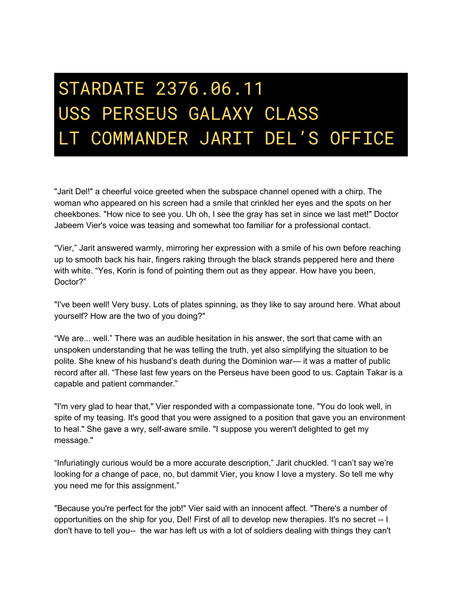## STARDATE 2376.06.11 USS PERSEUS GALAXY CLASS LT COMMANDER JARIT DEL'S OFFICE

"Jarit Del!" a cheerful voice greeted when the subspace channel opened with a chirp. The woman who appeared on his screen had a smile that crinkled her eyes and the spots on her cheekbones. "How nice to see you. Uh oh, I see the gray has set in since we last met!" Doctor Jabeem Vier's voice was teasing and somewhat too familiar for a professional contact.

"Vier," Jarit answered warmly, mirroring her expression with a smile of his own before reaching up to smooth back his hair, fingers raking through the black strands peppered here and there with white. "Yes, Korin is fond of pointing them out as they appear. How have you been, Doctor?"

"I've been well! Very busy. Lots of plates spinning, as they like to say around here. What about yourself? How are the two of you doing?"

"We are... well." There was an audible hesitation in his answer, the sort that came with an unspoken understanding that he was telling the truth, yet also simplifying the situation to be polite. She knew of his husband's death during the Dominion war— it was a matter of public record after all. "These last few years on the Perseus have been good to us. Captain Takar is a capable and patient commander."

"I'm very glad to hear that," Vier responded with a compassionate tone. "You do look well, in spite of my teasing. It's good that you were assigned to a position that gave you an environment to heal." She gave a wry, self-aware smile. "I suppose you weren't delighted to get my message."

"Infuriatingly curious would be a more accurate description," Jarit chuckled. "I can't say we're looking for a change of pace, no, but dammit Vier, you know I love a mystery. So tell me why you need me for this assignment."

"Because you're perfect for the job!" Vier said with an innocent affect. "There's a number of opportunities on the ship for you, Del! First of all to develop new therapies. It's no secret -- I don't have to tell you-- the war has left us with a lot of soldiers dealing with things they can't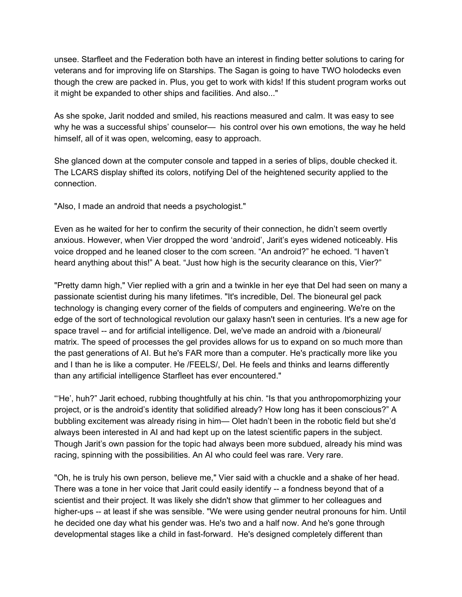unsee. Starfleet and the Federation both have an interest in finding better solutions to caring for veterans and for improving life on Starships. The Sagan is going to have TWO holodecks even though the crew are packed in. Plus, you get to work with kids! If this student program works out it might be expanded to other ships and facilities. And also..."

As she spoke, Jarit nodded and smiled, his reactions measured and calm. It was easy to see why he was a successful ships' counselor— his control over his own emotions, the way he held himself, all of it was open, welcoming, easy to approach.

She glanced down at the computer console and tapped in a series of blips, double checked it. The LCARS display shifted its colors, notifying Del of the heightened security applied to the connection.

"Also, I made an android that needs a psychologist."

Even as he waited for her to confirm the security of their connection, he didn't seem overtly anxious. However, when Vier dropped the word 'android', Jarit's eyes widened noticeably. His voice dropped and he leaned closer to the com screen. "An android?" he echoed. "I haven't heard anything about this!" A beat. "Just how high is the security clearance on this, Vier?"

"Pretty damn high," Vier replied with a grin and a twinkle in her eye that Del had seen on many a passionate scientist during his many lifetimes. "It's incredible, Del. The bioneural gel pack technology is changing every corner of the fields of computers and engineering. We're on the edge of the sort of technological revolution our galaxy hasn't seen in centuries. It's a new age for space travel -- and for artificial intelligence. Del, we've made an android with a /bioneural/ matrix. The speed of processes the gel provides allows for us to expand on so much more than the past generations of AI. But he's FAR more than a computer. He's practically more like you and I than he is like a computer. He /FEELS/, Del. He feels and thinks and learns differently than any artificial intelligence Starfleet has ever encountered."

"'He', huh?" Jarit echoed, rubbing thoughtfully at his chin. "Is that you anthropomorphizing your project, or is the android's identity that solidified already? How long has it been conscious?" A bubbling excitement was already rising in him— Olet hadn't been in the robotic field but she'd always been interested in AI and had kept up on the latest scientific papers in the subject. Though Jarit's own passion for the topic had always been more subdued, already his mind was racing, spinning with the possibilities. An AI who could feel was rare. Very rare.

"Oh, he is truly his own person, believe me," Vier said with a chuckle and a shake of her head. There was a tone in her voice that Jarit could easily identify -- a fondness beyond that of a scientist and their project. It was likely she didn't show that glimmer to her colleagues and higher-ups -- at least if she was sensible. "We were using gender neutral pronouns for him. Until he decided one day what his gender was. He's two and a half now. And he's gone through developmental stages like a child in fast-forward. He's designed completely different than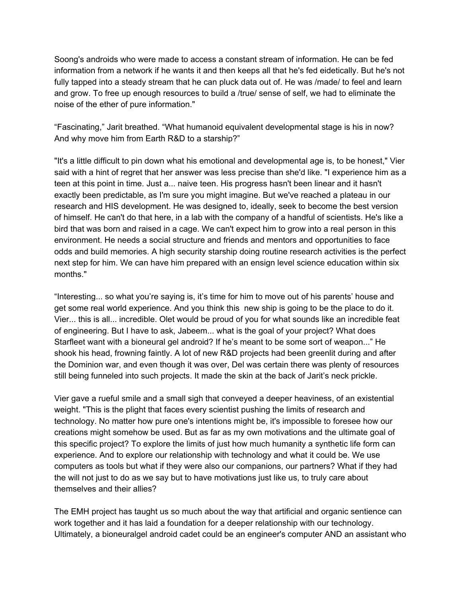Soong's androids who were made to access a constant stream of information. He can be fed information from a network if he wants it and then keeps all that he's fed eidetically. But he's not fully tapped into a steady stream that he can pluck data out of. He was /made/ to feel and learn and grow. To free up enough resources to build a /true/ sense of self, we had to eliminate the noise of the ether of pure information."

"Fascinating," Jarit breathed. "What humanoid equivalent developmental stage is his in now? And why move him from Earth R&D to a starship?"

"It's a little difficult to pin down what his emotional and developmental age is, to be honest," Vier said with a hint of regret that her answer was less precise than she'd like. "I experience him as a teen at this point in time. Just a... naive teen. His progress hasn't been linear and it hasn't exactly been predictable, as I'm sure you might imagine. But we've reached a plateau in our research and HIS development. He was designed to, ideally, seek to become the best version of himself. He can't do that here, in a lab with the company of a handful of scientists. He's like a bird that was born and raised in a cage. We can't expect him to grow into a real person in this environment. He needs a social structure and friends and mentors and opportunities to face odds and build memories. A high security starship doing routine research activities is the perfect next step for him. We can have him prepared with an ensign level science education within six months."

"Interesting... so what you're saying is, it's time for him to move out of his parents' house and get some real world experience. And you think this new ship is going to be the place to do it. Vier... this is all... incredible. Olet would be proud of you for what sounds like an incredible feat of engineering. But I have to ask, Jabeem... what is the goal of your project? What does Starfleet want with a bioneural gel android? If he's meant to be some sort of weapon..." He shook his head, frowning faintly. A lot of new R&D projects had been greenlit during and after the Dominion war, and even though it was over, Del was certain there was plenty of resources still being funneled into such projects. It made the skin at the back of Jarit's neck prickle.

Vier gave a rueful smile and a small sigh that conveyed a deeper heaviness, of an existential weight. "This is the plight that faces every scientist pushing the limits of research and technology. No matter how pure one's intentions might be, it's impossible to foresee how our creations might somehow be used. But as far as my own motivations and the ultimate goal of this specific project? To explore the limits of just how much humanity a synthetic life form can experience. And to explore our relationship with technology and what it could be. We use computers as tools but what if they were also our companions, our partners? What if they had the will not just to do as we say but to have motivations just like us, to truly care about themselves and their allies?

The EMH project has taught us so much about the way that artificial and organic sentience can work together and it has laid a foundation for a deeper relationship with our technology. Ultimately, a bioneuralgel android cadet could be an engineer's computer AND an assistant who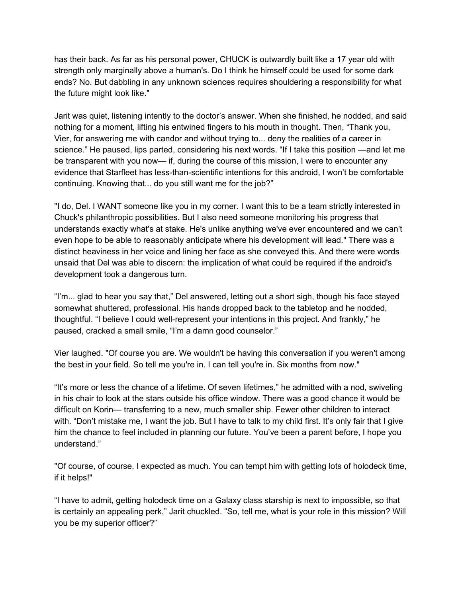has their back. As far as his personal power, CHUCK is outwardly built like a 17 year old with strength only marginally above a human's. Do I think he himself could be used for some dark ends? No. But dabbling in any unknown sciences requires shouldering a responsibility for what the future might look like."

Jarit was quiet, listening intently to the doctor's answer. When she finished, he nodded, and said nothing for a moment, lifting his entwined fingers to his mouth in thought. Then, "Thank you, Vier, for answering me with candor and without trying to... deny the realities of a career in science." He paused, lips parted, considering his next words. "If I take this position —and let me be transparent with you now— if, during the course of this mission, I were to encounter any evidence that Starfleet has less-than-scientific intentions for this android, I won't be comfortable continuing. Knowing that... do you still want me for the job?"

"I do, Del. I WANT someone like you in my corner. I want this to be a team strictly interested in Chuck's philanthropic possibilities. But I also need someone monitoring his progress that understands exactly what's at stake. He's unlike anything we've ever encountered and we can't even hope to be able to reasonably anticipate where his development will lead." There was a distinct heaviness in her voice and lining her face as she conveyed this. And there were words unsaid that Del was able to discern: the implication of what could be required if the android's development took a dangerous turn.

"I'm... glad to hear you say that," Del answered, letting out a short sigh, though his face stayed somewhat shuttered, professional. His hands dropped back to the tabletop and he nodded, thoughtful. "I believe I could well-represent your intentions in this project. And frankly," he paused, cracked a small smile, "I'm a damn good counselor."

Vier laughed. "Of course you are. We wouldn't be having this conversation if you weren't among the best in your field. So tell me you're in. I can tell you're in. Six months from now."

"It's more or less the chance of a lifetime. Of seven lifetimes," he admitted with a nod, swiveling in his chair to look at the stars outside his office window. There was a good chance it would be difficult on Korin— transferring to a new, much smaller ship. Fewer other children to interact with. "Don't mistake me, I want the job. But I have to talk to my child first. It's only fair that I give him the chance to feel included in planning our future. You've been a parent before, I hope you understand."

"Of course, of course. I expected as much. You can tempt him with getting lots of holodeck time, if it helps!"

"I have to admit, getting holodeck time on a Galaxy class starship is next to impossible, so that is certainly an appealing perk," Jarit chuckled. "So, tell me, what is your role in this mission? Will you be my superior officer?"